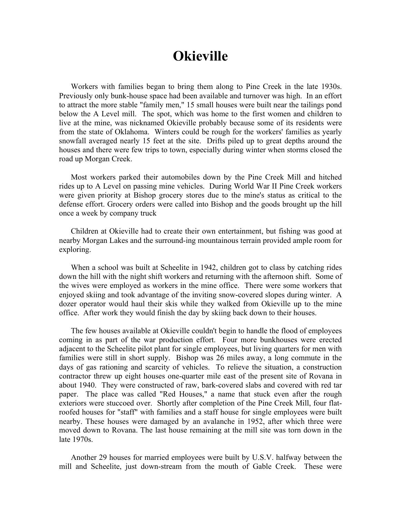## **Okieville**

Workers with families began to bring them along to Pine Creek in the late 1930s. Previously only bunk-house space had been available and turnover was high. In an effort to attract the more stable "family men," 15 small houses were built near the tailings pond below the A Level mill. The spot, which was home to the first women and children to live at the mine, was nicknamed Okieville probably because some of its residents were from the state of Oklahoma. Winters could be rough for the workers' families as yearly snowfall averaged nearly 15 feet at the site. Drifts piled up to great depths around the houses and there were few trips to town, especially during winter when storms closed the road up Morgan Creek.

Most workers parked their automobiles down by the Pine Creek Mill and hitched rides up to A Level on passing mine vehicles. During World War II Pine Creek workers were given priority at Bishop grocery stores due to the mine's status as critical to the defense effort. Grocery orders were called into Bishop and the goods brought up the hill once a week by company truck

Children at Okieville had to create their own entertainment, but fishing was good at nearby Morgan Lakes and the surround-ing mountainous terrain provided ample room for exploring.

When a school was built at Scheelite in 1942, children got to class by catching rides down the hill with the night shift workers and returning with the afternoon shift. Some of the wives were employed as workers in the mine office. There were some workers that enjoyed skiing and took advantage of the inviting snow-covered slopes during winter. A dozer operator would haul their skis while they walked from Okieville up to the mine office. After work they would finish the day by skiing back down to their houses.

The few houses available at Okieville couldn't begin to handle the flood of employees coming in as part of the war production effort. Four more bunkhouses were erected adjacent to the Scheelite pilot plant for single employees, but living quarters for men with families were still in short supply. Bishop was 26 miles away, a long commute in the days of gas rationing and scarcity of vehicles. To relieve the situation, a construction contractor threw up eight houses one-quarter mile east of the present site of Rovana in about 1940. They were constructed of raw, bark-covered slabs and covered with red tar paper. The place was called "Red Houses," a name that stuck even after the rough exteriors were stuccoed over. Shortly after completion of the Pine Creek Mill, four flatroofed houses for "staff" with families and a staff house for single employees were built nearby. These houses were damaged by an avalanche in 1952, after which three were moved down to Rovana. The last house remaining at the mill site was torn down in the late 1970s.

Another 29 houses for married employees were built by U.S.V. halfway between the mill and Scheelite, just down-stream from the mouth of Gable Creek. These were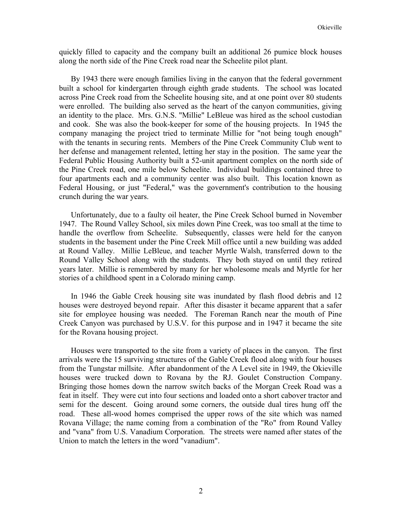quickly filled to capacity and the company built an additional 26 pumice block houses along the north side of the Pine Creek road near the Scheelite pilot plant.

By 1943 there were enough families living in the canyon that the federal government built a school for kindergarten through eighth grade students. The school was located across Pine Creek road from the Scheelite housing site, and at one point over 80 students were enrolled. The building also served as the heart of the canyon communities, giving an identity to the place. Mrs. G.N.S. "Millie" LeBleue was hired as the school custodian and cook. She was also the book-keeper for some of the housing projects. In 1945 the company managing the project tried to terminate Millie for "not being tough enough" with the tenants in securing rents. Members of the Pine Creek Community Club went to her defense and management relented, letting her stay in the position. The same year the Federal Public Housing Authority built a 52-unit apartment complex on the north side of the Pine Creek road, one mile below Scheelite. Individual buildings contained three to four apartments each and a community center was also built. This location known as Federal Housing, or just "Federal," was the government's contribution to the housing crunch during the war years.

Unfortunately, due to a faulty oil heater, the Pine Creek School burned in November 1947. The Round Valley School, six miles down Pine Creek, was too small at the time to handle the overflow from Scheelite. Subsequently, classes were held for the canyon students in the basement under the Pine Creek Mill office until a new building was added at Round Valley. Millie LeBleue, and teacher Myrtle Walsh, transferred down to the Round Valley School along with the students. They both stayed on until they retired years later. Millie is remembered by many for her wholesome meals and Myrtle for her stories of a childhood spent in a Colorado mining camp.

In 1946 the Gable Creek housing site was inundated by flash flood debris and 12 houses were destroyed beyond repair. After this disaster it became apparent that a safer site for employee housing was needed. The Foreman Ranch near the mouth of Pine Creek Canyon was purchased by U.S.V. for this purpose and in 1947 it became the site for the Rovana housing project.

Houses were transported to the site from a variety of places in the canyon. The first arrivals were the 15 surviving structures of the Gable Creek flood along with four houses from the Tungstar millsite. After abandonment of the A Level site in 1949, the Okieville houses were trucked down to Rovana by the RJ. Goulet Construction Company. Bringing those homes down the narrow switch backs of the Morgan Creek Road was a feat in itself. They were cut into four sections and loaded onto a short cabover tractor and semi for the descent. Going around some corners, the outside dual tires hung off the road. These all-wood homes comprised the upper rows of the site which was named Rovana Village; the name coming from a combination of the "Ro" from Round Valley and "vana" from U.S. Vanadium Corporation. The streets were named after states of the Union to match the letters in the word "vanadium".